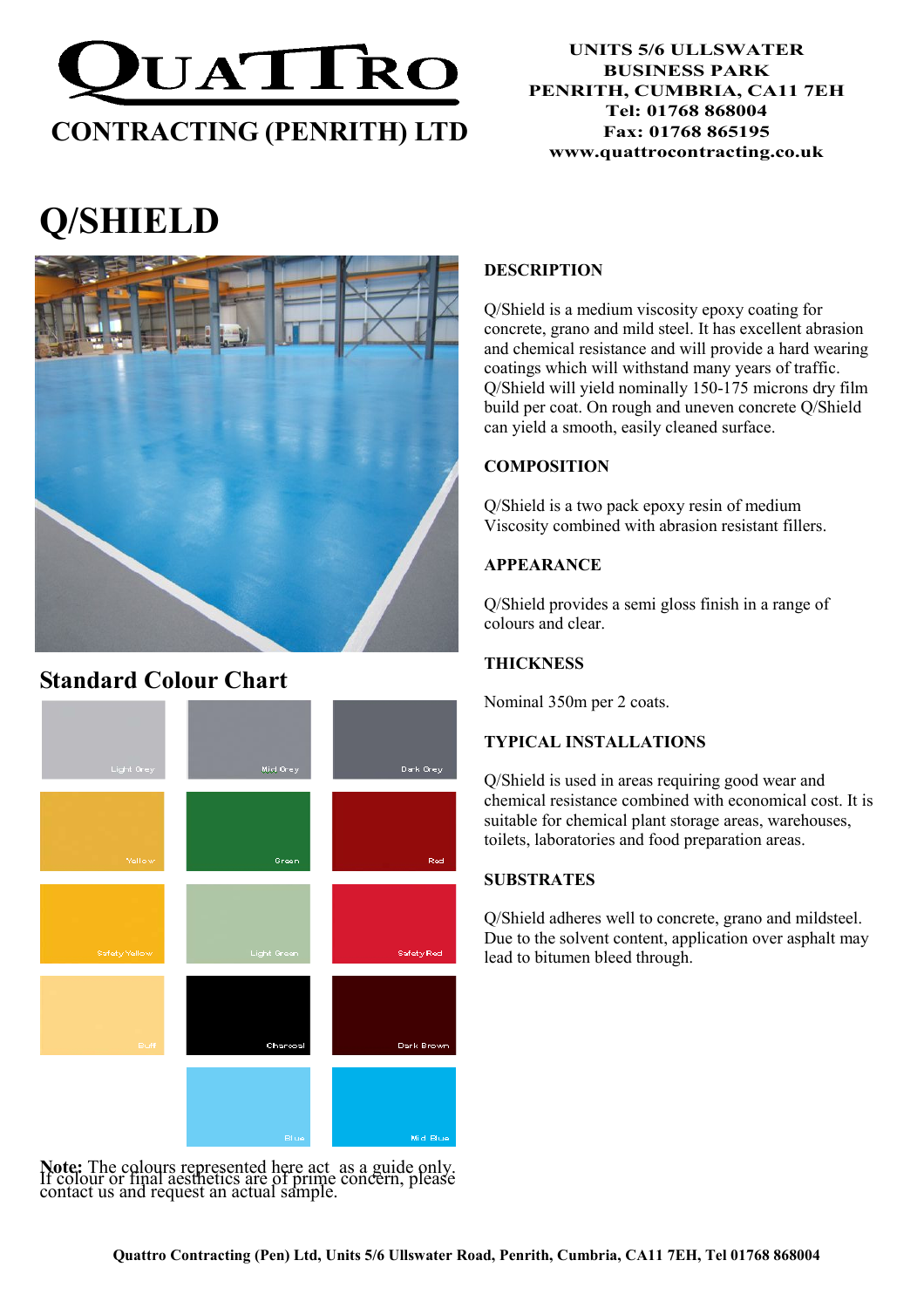

#### UNITS 5/6 ULLSWATER BUSINESS PARK PENRITH, CUMBRIA, CA11 7EH Tel: 01768 868004 Fax: 01768 865195 www.quattrocontracting.co.uk

# Q/SHIELD



# Standard Colour Chart



Note: The colours represented here act as a guide only. If colour or final aesthetics are of prime concern, please contact us and request an actual sample.

# DESCRIPTION

Q/Shield is a medium viscosity epoxy coating for concrete, grano and mild steel. It has excellent abrasion and chemical resistance and will provide a hard wearing coatings which will withstand many years of traffic. Q/Shield will yield nominally 150-175 microns dry film build per coat. On rough and uneven concrete Q/Shield can yield a smooth, easily cleaned surface.

# **COMPOSITION**

Q/Shield is a two pack epoxy resin of medium Viscosity combined with abrasion resistant fillers.

# APPEARANCE

Q/Shield provides a semi gloss finish in a range of colours and clear.

# **THICKNESS**

Nominal 350m per 2 coats.

# TYPICAL INSTALLATIONS

Q/Shield is used in areas requiring good wear and chemical resistance combined with economical cost. It is suitable for chemical plant storage areas, warehouses, toilets, laboratories and food preparation areas.

### **SUBSTRATES**

Q/Shield adheres well to concrete, grano and mildsteel. Due to the solvent content, application over asphalt may lead to bitumen bleed through.